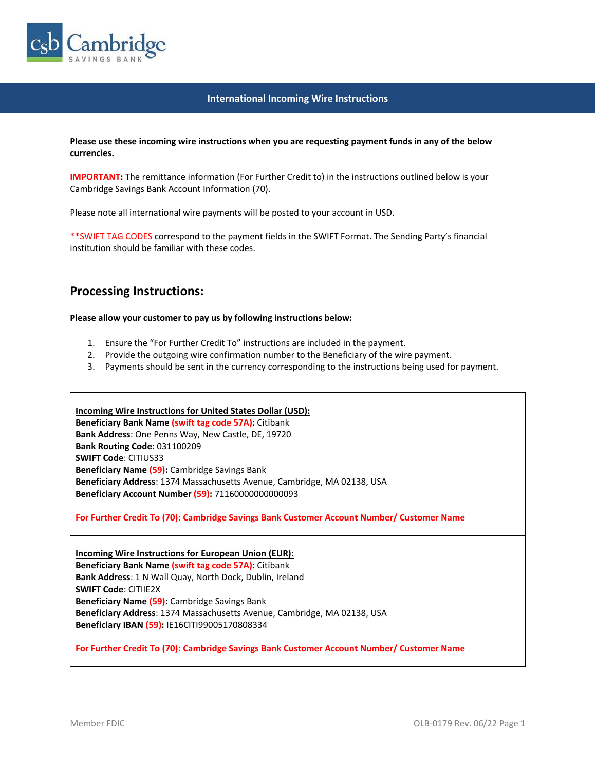

## **International Incoming Wire Instructions**

## **Please use these incoming wire instructions when you are requesting payment funds in any of the below currencies.**

**IMPORTANT:** The remittance information (For Further Credit to) in the instructions outlined below is your Cambridge Savings Bank Account Information (70).

Please note all international wire payments will be posted to your account in USD.

\*\*SWIFT TAG CODES correspond to the payment fields in the SWIFT Format. The Sending Party's financial institution should be familiar with these codes.

## **Processing Instructions:**

**Please allow your customer to pay us by following instructions below:**

- 1. Ensure the "For Further Credit To" instructions are included in the payment.
- 2. Provide the outgoing wire confirmation number to the Beneficiary of the wire payment.
- 3. Payments should be sent in the currency corresponding to the instructions being used for payment.

**Incoming Wire Instructions for United States Dollar (USD): Beneficiary Bank Name (swift tag code 57A):** Citibank **Bank Address**: One Penns Way, New Castle, DE, 19720 **Bank Routing Code**: 031100209 **SWIFT Code**: CITIUS33 **Beneficiary Name (59):** Cambridge Savings Bank **Beneficiary Address**: 1374 Massachusetts Avenue, Cambridge, MA 02138, USA **Beneficiary Account Number (59):** 71160000000000093

**For Further Credit To (70): Cambridge Savings Bank Customer Account Number/ Customer Name**

**Incoming Wire Instructions for European Union (EUR): Beneficiary Bank Name (swift tag code 57A):** Citibank **Bank Address**: 1 N Wall Quay, North Dock, Dublin, Ireland **SWIFT Code**: CITIIE2X **Beneficiary Name (59):** Cambridge Savings Bank **Beneficiary Address**: 1374 Massachusetts Avenue, Cambridge, MA 02138, USA **Beneficiary IBAN (59):** IE16CITI99005170808334

**For Further Credit To (70): Cambridge Savings Bank Customer Account Number/ Customer Name**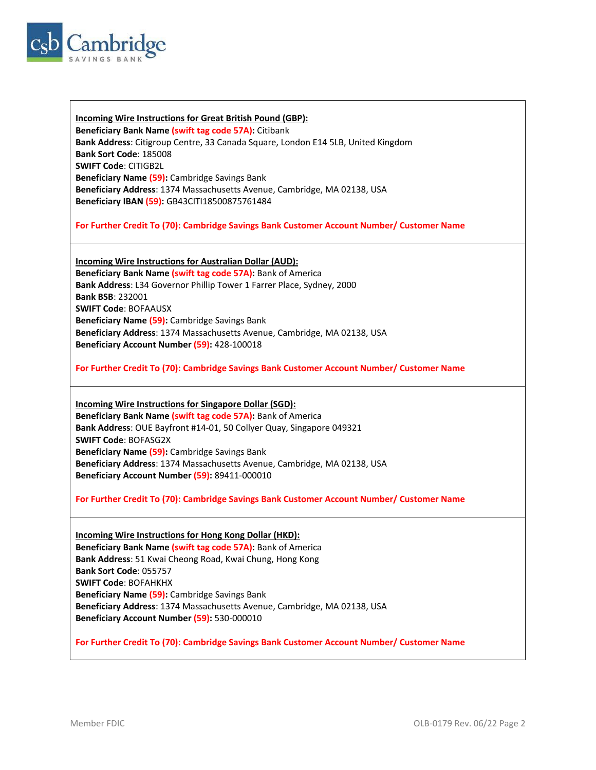

**Incoming Wire Instructions for Great British Pound (GBP): Beneficiary Bank Name (swift tag code 57A):** Citibank **Bank Address**: Citigroup Centre, 33 Canada Square, London E14 5LB, United Kingdom **Bank Sort Code**: 185008 **SWIFT Code**: CITIGB2L **Beneficiary Name (59):** Cambridge Savings Bank **Beneficiary Address**: 1374 Massachusetts Avenue, Cambridge, MA 02138, USA **Beneficiary IBAN (59):** GB43CITI18500875761484

**For Further Credit To (70): Cambridge Savings Bank Customer Account Number/ Customer Name**

**Incoming Wire Instructions for Australian Dollar (AUD): Beneficiary Bank Name (swift tag code 57A):** Bank of America **Bank Address**: L34 Governor Phillip Tower 1 Farrer Place, Sydney, 2000 **Bank BSB**: 232001 **SWIFT Code**: BOFAAUSX **Beneficiary Name (59):** Cambridge Savings Bank **Beneficiary Address**: 1374 Massachusetts Avenue, Cambridge, MA 02138, USA **Beneficiary Account Number (59):** 428-100018

**For Further Credit To (70): Cambridge Savings Bank Customer Account Number/ Customer Name**

**Incoming Wire Instructions for Singapore Dollar (SGD): Beneficiary Bank Name (swift tag code 57A):** Bank of America **Bank Address**: OUE Bayfront #14-01, 50 Collyer Quay, Singapore 049321 **SWIFT Code**: BOFASG2X **Beneficiary Name (59):** Cambridge Savings Bank **Beneficiary Address**: 1374 Massachusetts Avenue, Cambridge, MA 02138, USA **Beneficiary Account Number (59):** 89411-000010

**For Further Credit To (70): Cambridge Savings Bank Customer Account Number/ Customer Name**

**Incoming Wire Instructions for Hong Kong Dollar (HKD): Beneficiary Bank Name (swift tag code 57A):** Bank of America **Bank Address**: 51 Kwai Cheong Road, Kwai Chung, Hong Kong **Bank Sort Code**: 055757 **SWIFT Code**: BOFAHKHX **Beneficiary Name (59):** Cambridge Savings Bank **Beneficiary Address**: 1374 Massachusetts Avenue, Cambridge, MA 02138, USA **Beneficiary Account Number (59):** 530-000010

**For Further Credit To (70): Cambridge Savings Bank Customer Account Number/ Customer Name**